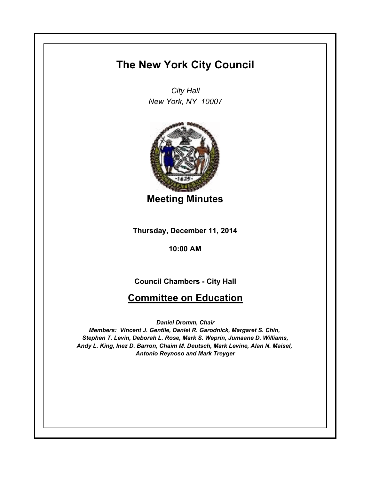## **The New York City Council**

*City Hall New York, NY 10007*



**Meeting Minutes**

**Thursday, December 11, 2014**

**10:00 AM**

## **Council Chambers - City Hall**

## **Committee on Education**

*Daniel Dromm, Chair*

*Members: Vincent J. Gentile, Daniel R. Garodnick, Margaret S. Chin, Stephen T. Levin, Deborah L. Rose, Mark S. Weprin, Jumaane D. Williams, Andy L. King, Inez D. Barron, Chaim M. Deutsch, Mark Levine, Alan N. Maisel, Antonio Reynoso and Mark Treyger*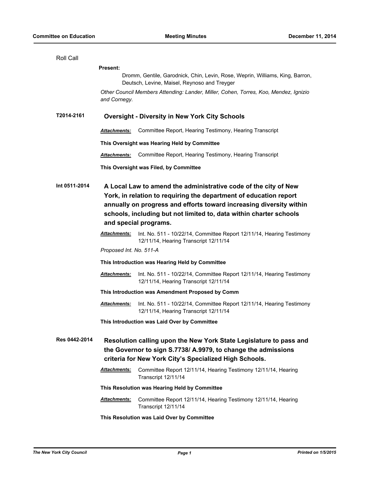| Roll Call     |                                                                                                                                                                                                                                                                                                            |                                                                                                                |  |
|---------------|------------------------------------------------------------------------------------------------------------------------------------------------------------------------------------------------------------------------------------------------------------------------------------------------------------|----------------------------------------------------------------------------------------------------------------|--|
|               | <b>Present:</b>                                                                                                                                                                                                                                                                                            |                                                                                                                |  |
|               | Dromm, Gentile, Garodnick, Chin, Levin, Rose, Weprin, Williams, King, Barron,<br>Deutsch, Levine, Maisel, Reynoso and Treyger                                                                                                                                                                              |                                                                                                                |  |
|               | and Cornegy.                                                                                                                                                                                                                                                                                               | Other Council Members Attending: Lander, Miller, Cohen, Torres, Koo, Mendez, Ignizio                           |  |
| T2014-2161    | <b>Oversight - Diversity in New York City Schools</b>                                                                                                                                                                                                                                                      |                                                                                                                |  |
|               | <b>Attachments:</b>                                                                                                                                                                                                                                                                                        | Committee Report, Hearing Testimony, Hearing Transcript                                                        |  |
|               |                                                                                                                                                                                                                                                                                                            | This Oversight was Hearing Held by Committee                                                                   |  |
|               | <b>Attachments:</b>                                                                                                                                                                                                                                                                                        | Committee Report, Hearing Testimony, Hearing Transcript                                                        |  |
|               |                                                                                                                                                                                                                                                                                                            | This Oversight was Filed, by Committee                                                                         |  |
| Int 0511-2014 | A Local Law to amend the administrative code of the city of New<br>York, in relation to requiring the department of education report<br>annually on progress and efforts toward increasing diversity within<br>schools, including but not limited to, data within charter schools<br>and special programs. |                                                                                                                |  |
|               | <b>Attachments:</b>                                                                                                                                                                                                                                                                                        | Int. No. 511 - 10/22/14, Committee Report 12/11/14, Hearing Testimony<br>12/11/14, Hearing Transcript 12/11/14 |  |
|               | Proposed Int. No. 511-A                                                                                                                                                                                                                                                                                    |                                                                                                                |  |
|               | This Introduction was Hearing Held by Committee                                                                                                                                                                                                                                                            |                                                                                                                |  |
|               | <b>Attachments:</b>                                                                                                                                                                                                                                                                                        | Int. No. 511 - 10/22/14, Committee Report 12/11/14, Hearing Testimony<br>12/11/14, Hearing Transcript 12/11/14 |  |
|               |                                                                                                                                                                                                                                                                                                            | This Introduction was Amendment Proposed by Comm                                                               |  |
|               | Attachments:                                                                                                                                                                                                                                                                                               | Int. No. 511 - 10/22/14, Committee Report 12/11/14, Hearing Testimony<br>12/11/14, Hearing Transcript 12/11/14 |  |
|               |                                                                                                                                                                                                                                                                                                            | This Introduction was Laid Over by Committee                                                                   |  |
| Res 0442-2014 | Resolution calling upon the New York State Legislature to pass and<br>the Governor to sign S.7738/ A.9979, to change the admissions<br>criteria for New York City's Specialized High Schools.                                                                                                              |                                                                                                                |  |
|               | <b>Attachments:</b>                                                                                                                                                                                                                                                                                        | Committee Report 12/11/14, Hearing Testimony 12/11/14, Hearing<br>Transcript 12/11/14                          |  |
|               | This Resolution was Hearing Held by Committee                                                                                                                                                                                                                                                              |                                                                                                                |  |
|               | <u>Attachments:</u>                                                                                                                                                                                                                                                                                        | Committee Report 12/11/14, Hearing Testimony 12/11/14, Hearing<br>Transcript 12/11/14                          |  |
|               | This Resolution was Laid Over by Committee                                                                                                                                                                                                                                                                 |                                                                                                                |  |